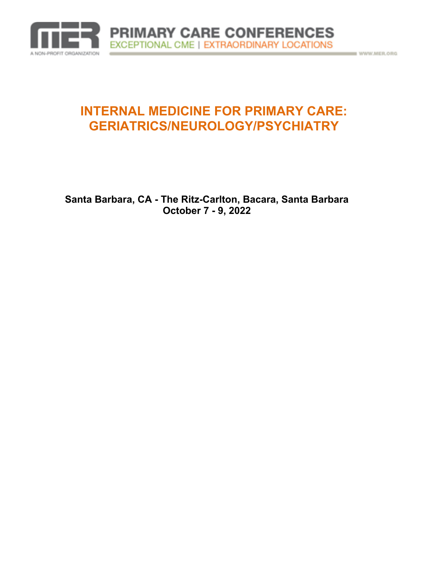

# **INTERNAL MEDICINE FOR PRIMARY CARE: GERIATRICS/NEUROLOGY/PSYCHIATRY**

**Santa Barbara, CA - The Ritz-Carlton, Bacara, Santa Barbara October 7 - 9, 2022**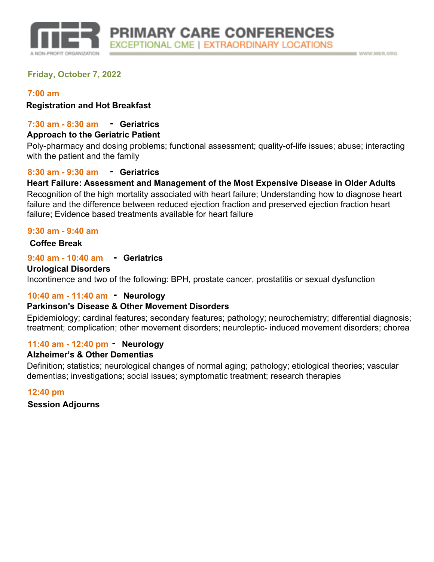

## **Friday, October 7, 2022**

### **7:00 am**

**Registration and Hot Breakfast**

## **- 7:30 am - 8:30 am Geriatrics**

#### **Approach to the Geriatric Patient**

Poly-pharmacy and dosing problems; functional assessment; quality-of-life issues; abuse; interacting with the patient and the family

## **- 8:30 am - 9:30 am Geriatrics**

## **Heart Failure: Assessment and Management of the Most Expensive Disease in Older Adults**

Recognition of the high mortality associated with heart failure; Understanding how to diagnose heart failure and the difference between reduced ejection fraction and preserved ejection fraction heart failure; Evidence based treatments available for heart failure

#### **9:30 am - 9:40 am**

## **Coffee Break**

## **- 9:40 am - 10:40 am Geriatrics**

#### **Urological Disorders**

Incontinence and two of the following: BPH, prostate cancer, prostatitis or sexual dysfunction

## **- 10:40 am - 11:40 am Neurology**

### **Parkinson's Disease & Other Movement Disorders**

Epidemiology; cardinal features; secondary features; pathology; neurochemistry; differential diagnosis; treatment; complication; other movement disorders; neuroleptic- induced movement disorders; chorea

## **- 11:40 am - 12:40 pm Neurology**

### **Alzheimer's & Other Dementias**

Definition; statistics; neurological changes of normal aging; pathology; etiological theories; vascular dementias; investigations; social issues; symptomatic treatment; research therapies

#### **12:40 pm**

**Session Adjourns**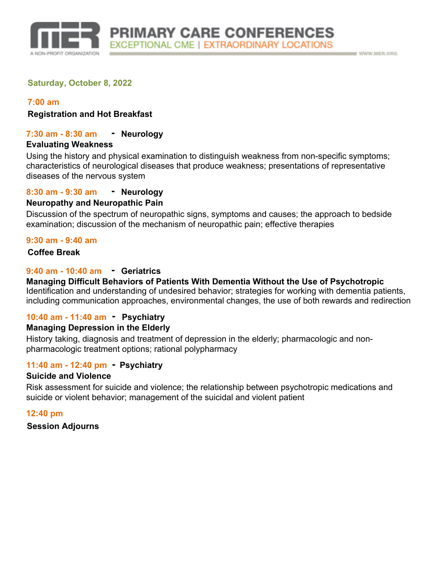

### **Saturday, October 8, 2022**

#### **7:00 am**

**Registration and Hot Breakfast**

#### **- 7:30 am - 8:30 am**

#### **Evaluating Weakness**

Using the history and physical examination to distinguish weakness from non-specific symptoms; characteristics of neurological diseases that produce weakness; presentations of representative diseases of the nervous system

#### **- 8:30 am - 9:30 am**

### **Neuropathy and Neuropathic Pain**

Discussion of the spectrum of neuropathic signs, symptoms and causes; the approach to bedside examination; discussion of the mechanism of neuropathic pain; effective therapies

#### **9:30 am - 9:40 am**

#### **Coffee Break**

## **- 9:40 am - 10:40 am Geriatrics**

Identification and understanding of undesired behavior; strategies for working with dementia patients, including communication approaches, environmental changes, the use of both rewards and redirection **Managing Difficult Behaviors of Patients With Dementia Without the Use of Psychotropic**

## **- 10:40 am - 11:40 am Psychiatry**

### **Managing Depression in the Elderly**

History taking, diagnosis and treatment of depression in the elderly; pharmacologic and nonpharmacologic treatment options; rational polypharmacy

## **- 11:40 am - 12:40 pm Psychiatry**

#### **Suicide and Violence**

Risk assessment for suicide and violence; the relationship between psychotropic medications and suicide or violent behavior; management of the suicidal and violent patient

### **12:40 pm**

#### **Session Adjourns**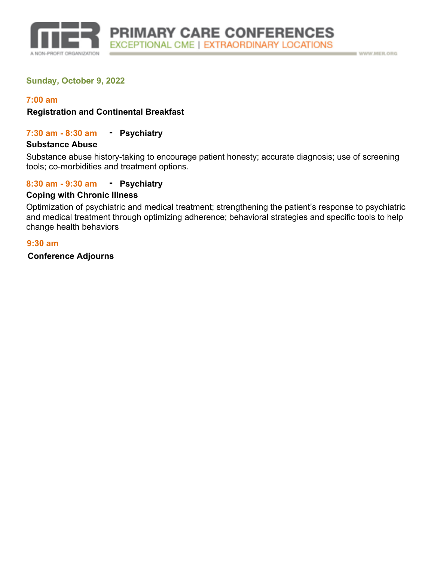

## **Sunday, October 9, 2022**

#### **7:00 am**

#### **Registration and Continental Breakfast**

#### **7:30 am - 8:30 am Psychiatry -**

#### **Substance Abuse**

Substance abuse history-taking to encourage patient honesty; accurate diagnosis; use of screening tools; co-morbidities and treatment options.

## **8:30 am - 9:30 am Psychiatry -**

#### **Coping with Chronic Illness**

Optimization of psychiatric and medical treatment; strengthening the patient's response to psychiatric and medical treatment through optimizing adherence; behavioral strategies and specific tools to help change health behaviors

#### **9:30 am**

**Conference Adjourns**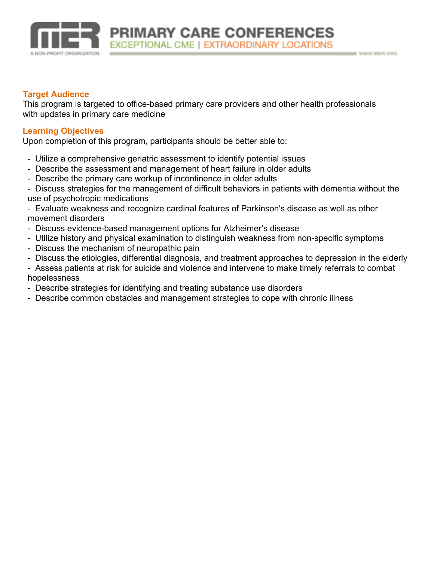

### **Target Audience**

This program is targeted to office-based primary care providers and other health professionals with updates in primary care medicine

## **Learning Objectives**

Upon completion of this program, participants should be better able to:

- Utilize a comprehensive geriatric assessment to identify potential issues
- Describe the assessment and management of heart failure in older adults
- Describe the primary care workup of incontinence in older adults

- Discuss strategies for the management of difficult behaviors in patients with dementia without the use of psychotropic medications

- Evaluate weakness and recognize cardinal features of Parkinson's disease as well as other movement disorders

- Discuss evidence-based management options for Alzheimer's disease
- Utilize history and physical examination to distinguish weakness from non-specific symptoms
- Discuss the mechanism of neuropathic pain
- Discuss the etiologies, differential diagnosis, and treatment approaches to depression in the elderly

- Assess patients at risk for suicide and violence and intervene to make timely referrals to combat hopelessness

- Describe strategies for identifying and treating substance use disorders
- Describe common obstacles and management strategies to cope with chronic illness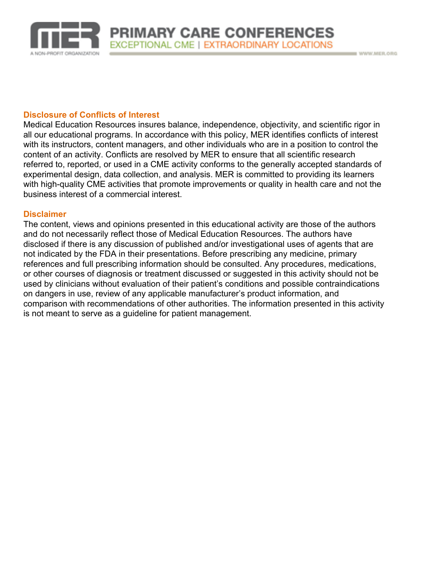

WWW.MER.ORO

#### **Disclosure of Conflicts of Interest**

Medical Education Resources insures balance, independence, objectivity, and scientific rigor in all our educational programs. In accordance with this policy, MER identifies conflicts of interest with its instructors, content managers, and other individuals who are in a position to control the content of an activity. Conflicts are resolved by MER to ensure that all scientific research referred to, reported, or used in a CME activity conforms to the generally accepted standards of experimental design, data collection, and analysis. MER is committed to providing its learners with high-quality CME activities that promote improvements or quality in health care and not the business interest of a commercial interest.

#### **Disclaimer**

The content, views and opinions presented in this educational activity are those of the authors and do not necessarily reflect those of Medical Education Resources. The authors have disclosed if there is any discussion of published and/or investigational uses of agents that are not indicated by the FDA in their presentations. Before prescribing any medicine, primary references and full prescribing information should be consulted. Any procedures, medications, or other courses of diagnosis or treatment discussed or suggested in this activity should not be used by clinicians without evaluation of their patient's conditions and possible contraindications on dangers in use, review of any applicable manufacturer's product information, and comparison with recommendations of other authorities. The information presented in this activity is not meant to serve as a guideline for patient management.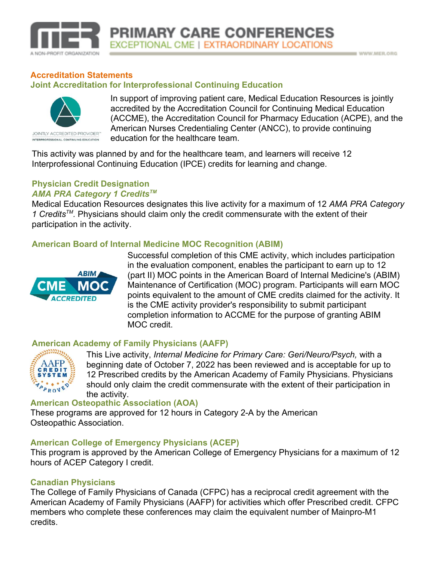

## **Accreditation Statements Joint Accreditation for Interprofessional Continuing Education**



In support of improving patient care, Medical Education Resources is jointly accredited by the Accreditation Council for Continuing Medical Education (ACCME), the Accreditation Council for Pharmacy Education (ACPE), and the American Nurses Credentialing Center (ANCC), to provide continuing education for the healthcare team.

WWW.MER.ORO

This activity was planned by and for the healthcare team, and learners will receive 12 Interprofessional Continuing Education (IPCE) credits for learning and change.

## **Physician Credit Designation** *AMA PRA Category 1 CreditsTM*

Medical Education Resources designates this live activity for a maximum of 12 *AMA PRA Category 1 CreditsTM .* Physicians should claim only the credit commensurate with the extent of their participation in the activity.

## **American Board of Internal Medicine MOC Recognition (ABIM)**



Successful completion of this CME activity, which includes participation in the evaluation component, enables the participant to earn up to 12 (part II) MOC points in the American Board of Internal Medicine's (ABIM) Maintenance of Certification (MOC) program. Participants will earn MOC points equivalent to the amount of CME credits claimed for the activity. It is the CME activity provider's responsibility to submit participant completion information to ACCME for the purpose of granting ABIM MOC credit.

## **American Academy of Family Physicians (AAFP)**



This Live activity, *Internal Medicine for Primary Care: Geri/Neuro/Psych,* with a beginning date of October 7, 2022 has been reviewed and is acceptable for up to 12 Prescribed credits by the American Academy of Family Physicians. Physicians should only claim the credit commensurate with the extent of their participation in the activity.

## **American Osteopathic Association (AOA)**

These programs are approved for 12 hours in Category 2-A by the American Osteopathic Association.

## **American College of Emergency Physicians (ACEP)**

This program is approved by the American College of Emergency Physicians for a maximum of 12 hours of ACEP Category I credit.

## **Canadian Physicians**

The College of Family Physicians of Canada (CFPC) has a reciprocal credit agreement with the American Academy of Family Physicians (AAFP) for activities which offer Prescribed credit. CFPC members who complete these conferences may claim the equivalent number of Mainpro-M1 credits.